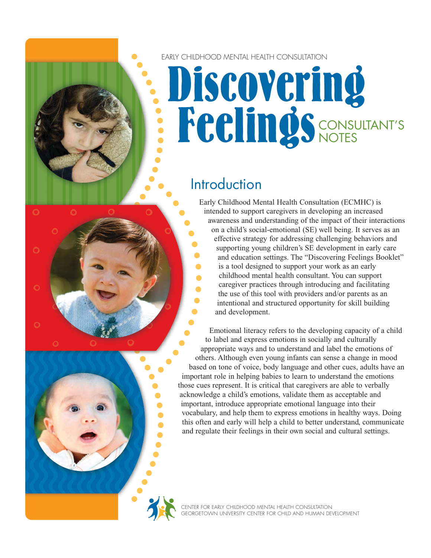EARLY CHILDHOOD MENTAL HEALTH CONSULTATION

# Discovering results **Feelings** CONSULTANT'S  $\bullet$

# **Introduction**

 $\bullet$ 

 $\bullet$ 

Early Childhood Mental Health Consultation (ECMHC) is intended to support caregivers in developing an increased awareness and understanding of the impact of their interactions on a child's social-emotional (SE) well being. It serves as an effective strategy for addressing challenging behaviors and supporting young children's SE development in early care and education settings. The "Discovering Feelings Booklet" is a tool designed to support your work as an early childhood mental health consultant. You can support caregiver practices through introducing and facilitating the use of this tool with providers and/or parents as an intentional and structured opportunity for skill building and development.

Emotional literacy refers to the developing capacity of a child to label and express emotions in socially and culturally appropriate ways and to understand and label the emotions of others. Although even young infants can sense a change in mood based on tone of voice, body language and other cues, adults have an important role in helping babies to learn to understand the emotions those cues represent. It is critical that caregivers are able to verbally acknowledge a child's emotions, validate them as acceptable and important, introduce appropriate emotional language into their vocabulary, and help them to express emotions in healthy ways. Doing this often and early will help a child to better understand, communicate and regulate their feelings in their own social and cultural settings.

CENTER FOR EARLY CHILDHOOD MENTAL HEALTH CONSULTATION GEORGETOWN UNIVERSITY CENTER FOR CHILD AND HUMAN DEVELOPMENT